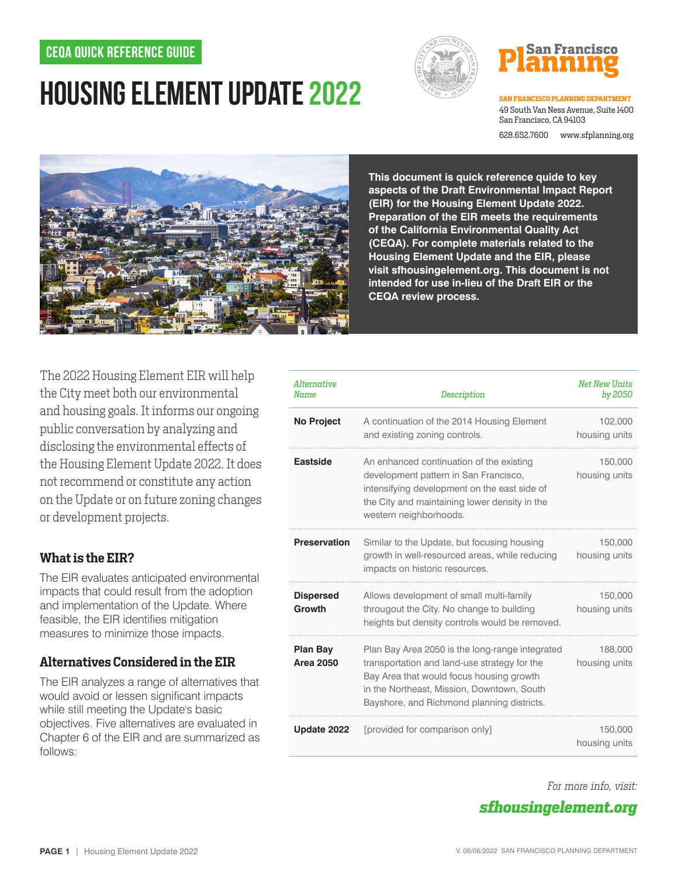## **CEQA Quick reference guide**

# **Housing Element Update 2022**



# **San Franci**s

**SAN FRANCISCO PLANNING DEPARTMENT** 49 South Van Ness Avenue, Suite 1400 San Francisco, CA 94103

628.652.7600 www.sfplanning.org



**This document is quick reference quide to key aspects of the Draft Environmental Impact Report (EIR) for the Housing Element Update 2022. Preparation of the EIR meets the requirements of the California Environmental Quality Act (CEQA). For complete materials related to the Housing Element Update and the EIR, please visit sfhousingelement.org. This document is not intended for use in-lieu of the Draft EIR or the CEQA review process.**

The 2022 Housing Element EIR will help the City meet both our environmental and housing goals. It informs our ongoing public conversation by analyzing and disclosing the environmental effects of the Housing Element Update 2022. It does not recommend or constitute any action on the Update or on future zoning changes or development projects.

## **What is the EIR?**

The EIR evaluates anticipated environmental impacts that could result from the adoption and implementation of the Update. Where feasible, the EIR identifies mitigation measures to minimize those impacts.

## **Alternatives Considered in the EIR**

The EIR analyzes a range of alternatives that would avoid or lessen significant impacts while still meeting the Update's basic objectives. Five alternatives are evaluated in Chapter 6 of the EIR and are summarized as follows:

| Alternative<br><b>Name</b>          | <b>Description</b>                                                                                                                                                                                                                      | <b>Net New Units</b><br>by 2050 |
|-------------------------------------|-----------------------------------------------------------------------------------------------------------------------------------------------------------------------------------------------------------------------------------------|---------------------------------|
| <b>No Project</b>                   | A continuation of the 2014 Housing Element<br>and existing zoning controls.                                                                                                                                                             | 102,000<br>housing units        |
| <b>Eastside</b>                     | An enhanced continuation of the existing<br>development pattern in San Francisco,<br>intensifying development on the east side of<br>the City and maintaining lower density in the<br>western neighborhoods.                            | 150,000<br>housing units        |
| <b>Preservation</b>                 | Similar to the Update, but focusing housing<br>growth in well-resourced areas, while reducing<br>impacts on historic resources.                                                                                                         | 150,000<br>housing units        |
| <b>Dispersed</b><br><b>Growth</b>   | Allows development of small multi-family<br>througout the City. No change to building<br>heights but density controls would be removed.                                                                                                 | 150,000<br>housing units        |
| <b>Plan Bay</b><br><b>Area 2050</b> | Plan Bay Area 2050 is the long-range integrated<br>transportation and land-use strategy for the<br>Bay Area that would focus housing growth<br>in the Northeast, Mission, Downtown, South<br>Bayshore, and Richmond planning districts. | 188,000<br>housing units        |
| Update 2022                         | [provided for comparison only]                                                                                                                                                                                                          | 150,000<br>housing units        |

*For more info, visit:*